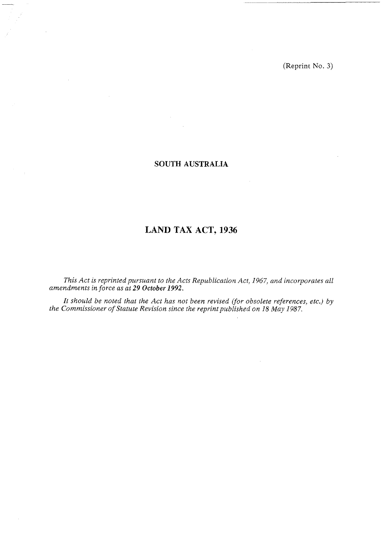(Reprint No. **3)** 

# **SOUTH AUSTRALIA**

 $\bar{z}$ 

# **LAND TAX ACT, 1936**

*This Act is reprinted pursuant to the Acts Republication Act, 1967, and incorporates all amendments in force as at 29* **October** *1992.* 

*It should be noted that the Act has not been revised (for obsolete references, etc.) by the Commissioner of Statute Revision since the reprint published on 18 May 1987.*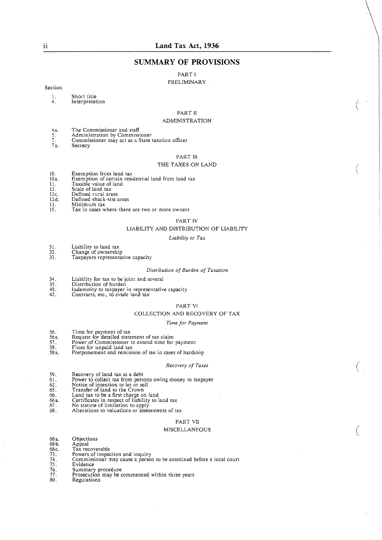# **SUMMARY OF PROVISIONS**

PART 1 PRELIMINARY

## 1.

Section

4. Short title Interpretation

# PART I1

#### ADMINISTRATION

- 4a. The Commissioner and staff
	- Administration by Commissioner
- $\frac{5}{7}$ Commissioner may act as a State taxation officer
- $7a$ **Secrecy**

#### PART III

#### THE TAXES ON LAND

- $10.$ Exemption from land tax
- $10a$ . Exemption from tand tax
- 11. Taxable value of land Scale of land tax
- $\overline{12}$ .
- $12c$ Defined rural areas Defined shack-site areas Minimum tax
- 12d.
- $\frac{13}{15}$ .
- 'Tax in cases where there are two or more owners

#### PART IV

#### LIABILITY AND DISTRIBUTION OF LIABILITY

#### *Liability to Tax*

- 
- Liability to land tax<br>Change of ownership  $\frac{31}{32}$ .<br> $\frac{32}{33}$ .
- Taxpayers representative capacity

#### *Dirtribiuion of Burden of Taxation*

- 34. Liability for tax to be joint and several
- 35. Distribution of burden
- Indemnity to taxpayer in representative capacity Contracts, etc., to evade land tax  $\frac{40}{42}$ .
- 

#### PART VI

#### COLLECTION AND RECOVERY OF TAX

#### *Time for Payment*

- Time for payment of tax 56.
- $\frac{56}{56}$ a. Request for detailed statement of tax claim
- Power of Commissioner to extend time for payment
- $58<sub>1</sub>$ Fines for unpaid land tax
- 58a. Postponement and remission of tax in cases of hardship

#### *Recovery* **of** *?;?xes*

- 59. Recovery of land tax as a debt
- 61. Power to collect tax from persons owing money to taxpayer
- $\frac{62}{65}$
- 
- Transfer of land to the Crown Land tax to be a first charge on land 66.
- Certificates in respect of liability to land tax<br>No statute of limitation to apply 66 a.
- $67.$
- 68. Alterations to valuations or assessments of tax

#### PART VlI

#### MISCELLANEOUS

- 68a. Objections
- 68b.
- Appeal Tax recoverable  $68c$ .
- $73.74.75.76.77.$
- Powers of inspection and inquiry Commissioner may cause a person lo be examined before a local court
- 
- Evidence<br>Summary procedure
- Prosecution may be commenced within three years
- $80.$ Regulations

ii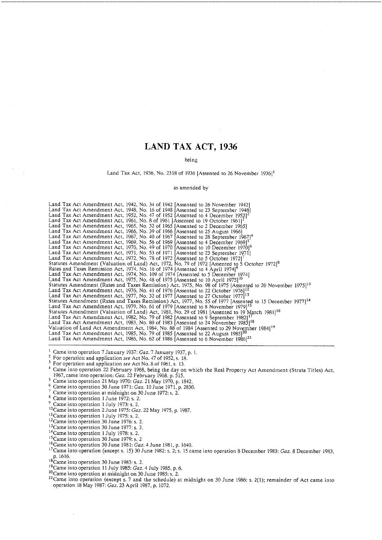# **LAND TAX ACT, 1936**

#### being

#### Land Tax Act. 1936, No. 2318 of 1936 [Assented to 26 November 19361'

as amended by

Land Tax Act Amendment Act, 1942, No. 34 of 1942 [Assented to 26 November 19421 Land Tax Act Amendment Act, 1948, No. 16 of 1948 [Assented to 23 September 1948] Land Tax Act Amendment Act, 1952, No. 47 of 1952 [Assented to 4 December 1952] $^{2^{\sim}}$ Land Tax Act Amendment Act, 1961, No. 8 of 1961 [Assented to 19 October 1961] $^3$ Land Tax Act Amendment Act, 1961, No. 8 of 1961 [Assented to 19 October 1961]<br>Land Tax Act Amendment Act, 1965, No. 32 of 1965 [Assented to 2 December 1965]<br>Land Tax Act Amendment Act, 1966, No. 39 of 1966 [Assented to 25 Land Tax Act Amendment Act, 1969, No. 56 of 1969 [Assented to 4 December 1969] $^5$ Land Tax Act Amendment Act, 1970, No. 49 of 1970 [Assented to 10 December 1970] $^6$ Land Tax Act Amendment Act, 1971. No. 53 of 1971 [Assented to 23 September 171) Land Tax Act Amendment Act, 1972, No. 78 of 1972 [Assented to 5 October 1972] $^7$ Statutes Amendment (Valuation of Land) Act, 1972, No. 79 of 1972 [Assented to 5 October 1972]<sup>8</sup> Rates and Taxes Remission Act, 1974, No. 16 of 1974 [Assented to 4 April 1974] $^9$ Land Tax Act Amendment Act, 1974. No. 109 of 1974 [Assented to 5 December 19741 Land Tax Act Amendment Act, 1975, No. 48 of 1975 [Assented to 10 April 1975] $^{10}$ Statutes Amendment (Rates and Taxes Remission) Act. 1975, No. 98 of 1975 [Assented to 20 November 1975] $^{11}$ Land Tax Act Amendment Act, 1976, No. 41 of 1976 [Assented to 22 October 1976] $^{12}$ Land Tax Act Amendment Act, 1977, No. 32 of 1977 [Assented to 27 October 1977] $^{13}$ Statutes Amendment (Rates and Taxes Remission) Act, 1977, No. 55 of 1977 [Assented to 15 December 1977]<sup>14</sup> Land Tax Act Amendment Act, 1979, No. 61 of 1979 [Assented to 8 November 1979] $^{15}$ Statutes Amendment (Valuation of Land) Act. 1981, No. 29 of 1981 [Assented to 19 March 1981] $^{16}$ Land Tax Act Amendment Act, 1982, No. 79 of 1982 [Assented to 9 September 1982] $^{17}$ Land Tax Act Amendment Act, 1983, No. 80 of 1983 [Assented to 24 November 1983] $^{18}$ Valuation of Land Act Amendment Act, 1984, No. 88 of 1984 [Assented to 29 November 1984]<sup>19</sup> Land Tax Act Amendment Act, 1985, No. 79 of 1985 [Assented to 22 August 1985] $^{20}$  . Land Tax Act Amendment Act, 1986, No. 62 of 1986 [Assented to 6 November 1986] $^{21}$ 

<sup>1</sup> Came into operation 7 January 1937: Gaz. 7 January 1937, p. 1.<br> $\frac{2}{5}$  For operation and application and  $\frac{3}{2}$  in  $\frac{3}{2}$  if  $\frac{1052}{2}$  in  $\frac{10}{2}$ 

<sup>2</sup> For operation and application see Act No. 47 of 1952, s. 18.<br><sup>3</sup> For operation and application see Act No. 8 of 1961, s. 13.<br><sup>4</sup> Came into operation 22 February 1968, being the day on

came into operation-22 February 1968, being the day on which the Real Property Act Amendment (Strata Titles) Act, 1967. came into operation: Gaz. 22 February 1968, p. 515.

Came into operation 21 May 1970: Gaz. 21 May 1970, p. 1842.

- Came into operation 30 June 1971: Gaz. 10 June 1971, p. 2830.
- Came into operarion at midnight on 30 June 1972: s. 2.
- Came into operation 1 June 1972: s. 2.
- Came into operation 1 July 1973: s. 2.
- <sup>10</sup>Came into operation 2 June 1975: Gaz. 22 May 1975, p. 1987.
- <sup>11</sup>Came into operation 1 July 1975: s. 2.
- $12$ Came into operation 30 June 1976: s. 2.
- $^{13}$ Came into operation 30 June 1977: s. 2.
- <sup>14</sup> Came into operation 1 July 1978: s. 2.
- $15$ Came into operation 30 June 1979: s. 2
- <sup>16</sup>Came into operation 30 June 1981: Gaz. 4 June 1981, p. 1640.
- <sup>17</sup>Came into operation (except s. 15) 30 June 1982: s. 2: s. 15 came into operation 8 December 1983: Gaz. 8 December 1983, ..., p. 1616.
- <sup>8</sup>Came into operation 30 June 1983: s. 2.
- <sup>9</sup>Came into operation 11 July 1985: Gaz. 4 July 1985, p. 6.
- <sup>20</sup>Came into operation at midnight on 30 June 1985: s. 2.
- $21$ Came into operation (except s. 7 and the schedule) at midnight on 30 June 1986: s. 2(1); remainder of Act came into operation 18 May 1987: Gaz. 23 April 1987, p. 1072.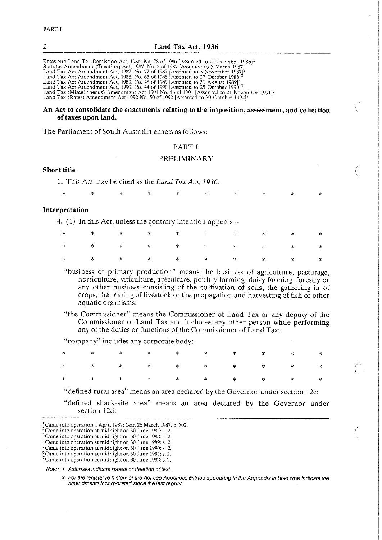| Land Tax Act, 1936                                                                                                                                                                                                                                                                                                                                                                                                                                                                                                                                                                                                                                                                                                                                                                          |
|---------------------------------------------------------------------------------------------------------------------------------------------------------------------------------------------------------------------------------------------------------------------------------------------------------------------------------------------------------------------------------------------------------------------------------------------------------------------------------------------------------------------------------------------------------------------------------------------------------------------------------------------------------------------------------------------------------------------------------------------------------------------------------------------|
| Rates and Land Tax Remission Act, 1986, No. 78 of 1986 [Assented to 4 December 1986] <sup>1</sup><br>Statutes Amendment (Taxation) Act, 1987, No. 2 of 1987 [Assented to 5 March 1987]<br>Land Tax Act Amendment Act, 1987, No. 72 of 1987 [Assented to 5 November 1987] <sup>2</sup><br>Land Tax Act Amendment Act, 1988, No. 63 of 1988 Assented to 27 October 1988] <sup>3</sup><br>Land Tax Act Amendment Act, 1989, No. 48 of 1989 [Assented to 31 August 1989] <sup>4</sup><br>Land Tax Act Amendment Act, 1990, No. 44 of 1990 [Assented to 25 October 1990] <sup>5</sup><br>Land Tax (Miscellaneous) Amendment Act 1991 No. 46 of 1991 [Assented to 21 November 1991] <sup>6</sup><br>Land Tax (Rates) Amendment Act 1992 No. 50 of 1992 [Assented to 29 October 1992] <sup>7</sup> |
| An Act to consolidate the enactments relating to the imposition, assessment, and collection<br>of taxes upon land.                                                                                                                                                                                                                                                                                                                                                                                                                                                                                                                                                                                                                                                                          |
| The Parliament of South Australia enacts as follows:                                                                                                                                                                                                                                                                                                                                                                                                                                                                                                                                                                                                                                                                                                                                        |

#### PART I

#### PRELIMINARY

 $\ast$ 

## **Short title**

**1.** This Act may be cited as the Land *Tax* Act, *1936.* 

#### **Interpretation**

 $\mathbf{x}$ 

4. (1) In this Act, unless the contrary intention appears—

|  |  |  |  | $\begin{array}{ccccccccccccccccccccc} \ast & \times & \times & \times & \times & \times & \times & \times & \times & \times & \times \end{array}$ |  |
|--|--|--|--|---------------------------------------------------------------------------------------------------------------------------------------------------|--|
|  |  |  |  | $\begin{array}{ccccccccccccccccccccc} \ast & \times & \times & \times & \times & \times & \times & \times & \times & \times & \times \end{array}$ |  |

 $\bar{\mathbf{x}}$ 

"business of primary production" means the business of agriculture, pasturage, horticulture, viticulture, apiculture, poultry farming, dairy farming, forestry or any other business consisting of the cultivation of soils, the gathering in of crops, the rearing of livestock or the propagation and harvesting of fish or other aquatic organisms:

"the Commissioner" means the Commissioner of Land Tax or any deputy of the Commissioner of Land Tax and includes any other person while performing any of the duties or functions of the Commissioner of Land Tax:

"company" includes any corporate body:

"defined rural area" means an area declared by the Governor under section 12c:

"defined shack-site area" means an area declared by the Governor under section 12d:

- 'Came into operation 1 April 1987: **Gaz.** 26 March 1987, p. 702.
- 'Came into operation at midnight on *30* June 1987: *s.* **2.**
- 
- <sup>1</sup> Came into operation at midnight on 30 June 1988: s. 2.<br><sup>1</sup> Came into operation at midnight on 30 June 1989: s. 2.
- <sup>5</sup> Came into operation at midnight on 30 June 1990: s. 2.
- $6$ Came into operation at midnight on 30 June 1991; s. 2. 'Came into operation at midnight on 30 June 1992: *s.* 2.

**Note: I. Asterisks indicate repeal or deletion** of **text** 

<sup>2.</sup> For the legislative history of the Act see Appendix. Entries appearing in the Appendix in bold type indicate the amendments incorporated since the last reprint.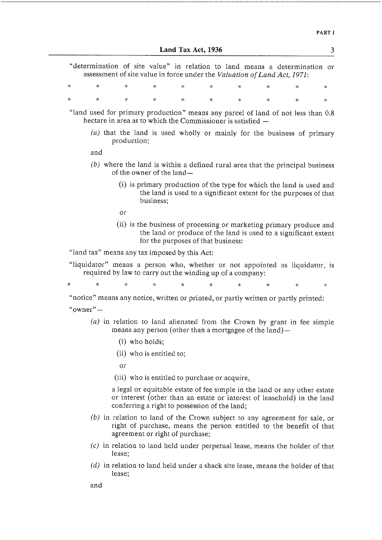**Land Tax Act, 1936** 3

 $\ddot{\nu}$ 

"determination of site value" in relation to land means a determination or assessment of site value in force under the *Valuation of Land Act, 1971:* 

à.

é.  $\dot{x}$  $\ddot{\mathbf{z}}$  $\ddot{\psi}$ 

"land used for primary production" means any parcel of land of not less than 0.8 hectare in area as to which the Commissioner is satisfied -

*(a)* that the land is used wholly or mainly for the business of primary production;

and

- *(b)* where the land is within a defined rural area that the principal business of the owner of the land-
	- (i) is primary production of the type for which the land is used and the land is used to a significant extent for the purposes of that business;

**or** 

(ii) is the business of processing or marketing primary produce and the land or produce of the land is used to a significant extent for the purposes of that business:

"land tax" means any tax imposed by this Act:

"liquidator" means a person who, whether or not appointed as liquidator, is required by law to carry out the winding up of a company:

 $\ddot{\phantom{0}}$ 

"notice" means any notice, written or printed, or partly written or partly printed: " $owner" -$ 

- *(a)* in relation to land alienated from the Crown by grant in fee simple means any person (other than a mortgagee of the land)-
	- (i) who holds;
	- (ii) who is entitled to;

or

(iii) who is entitled to purchase or acquire,

a legal or equitable estate of fee simple in the land or any other estate or interest (other than an estate or interest of leasehold) in the land conferring a right to possession of the land;

- *(b)* in relation to land of the Crown subject to any agreement for sale, or right of purchase, means the person entitled to the benefit of that agreement or right of purchase;
- (c) in relation to land held under perpetual lease, means the holder of that lease;
- *(d)* in relation to land held under a shack site lease, means the holder of that lease;

and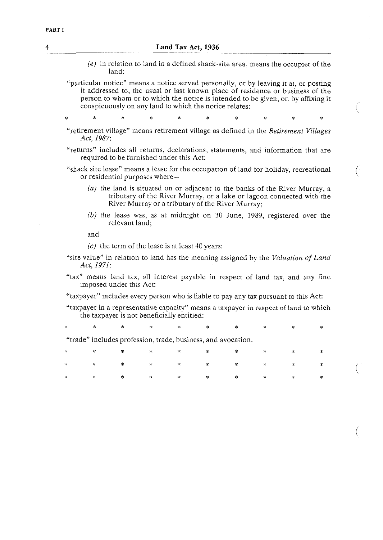Š.

*(e)* in relation to land in a defined shack-site area, means the occupier of the land:

"particular notice" means a notice served personally, or by leaving it at, or posting it addressed to, the usual or last known place of residence or business of the person to whom or to which the notice is intended to be given, or, by affixing it conspicuously on any land to which the notice relates:

"retirement village" means retirement village as defined in the *Retirement Villages Act, 1987:* 

"returns" includes all returns, declarations, statements, and information that are required to be furnished under this Act:

"shack site lease" means a lease for the occupation of land for holiday, recreational or residential purposes where-

- *(a)* the land is situated on or adjacent to the banks of the River Murray, a tributary of the River Murray, or a lake or lagoon connected with the River Murray or a tributary of the River Murray;
- *ib)* the lease was, as at midnight on 30 June, 1989, registered over the relevant land;

and

*(c)* the term of the lease is at least 40 years:

- "site value" in relation to land has the meaning assigned by the *Valuation of Land Act, 1971:*
- "tax" means land tax, all interest payable in respect of land tax, and any fine imposed under this Act:

"taxpayer" includes every person who is liable to pay any tax pursuant to this Act:

"taxpayer in a representative capacity" means a taxpayer in respect of iand to which the taxpayer is not beneficially entitled:

<sup>X</sup>*8 8 8* % *<sup>8</sup>*\* ?; \* *<sup>8</sup>* "trade" includes profession, trade, business, and avocation.

*<sup>8</sup>*\* .% \* L a *8* \* % \* \* 8 \* Y; *8* \* *8 8 8 8 8 8* % \* *8 8 8* \* \* *8*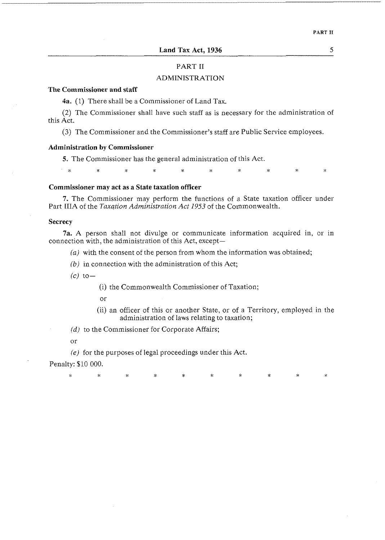## **Land Tax Act, 1936**

# PART 11

# ADMINISTRATION

# **The Commissioner and staff**

**4a.** (1) There shall be a Commissioner of Land Tax.

(2) The Commissioner shall have such staff as is necessary for the administration of this Act.

**(3)** The Commissioner and the Commissioner's staff are Public Service employees.

#### **Administration by Commissioner**

5. The Commissioner has the general administration of this Act.

 $\sim$   $\,$   $\,$   $\,$   $\,$ į. i. J. a. ä,  $\bar{\mathbf{x}}$ 

#### **Commissioner may act as a State taxation officer**

**7.** The Commissioner may perform the functions of a State taxation officer under Part IIIA of the *Taxation Administration Act 1953* of the Commonwealth.

#### **Secrecy**

**7a.** A person shall not divulge or communicate information acquired in, or in connection with, the administration of this Act,  $exec$ 

*(a)* with the consent of the person from whom the information was obtained;

*(b)* in connection with the administration of this Act;

 $(c)$  to -

(i) the Commonwealth Commissioner of Taxation;

or

(ii) an officer of this or another State, or of a Territory, employed in the administration of laws relating to taxation;

*(d)* to the Commissioner for Corporate Affairs;

or

*(e)* for the purposes of legal proceedings under this Act.

Penalty: \$10 000.

.<br>X  $\dot{\mathbf{x}}$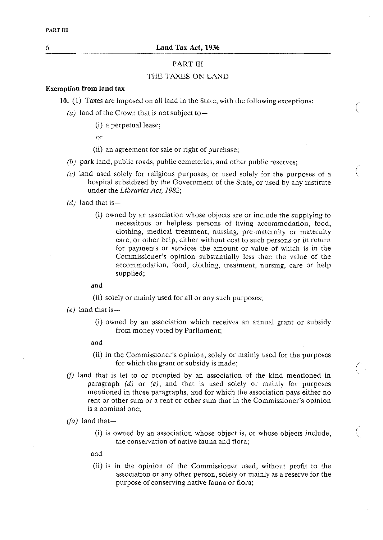# PART **I11**

# THE TAXES ON LAND

## **Exemption from land tax**

10. (1) Taxes are imposed on all land in the State, with the following exceptions:

- (a) land of the Crown that is not subject to  $-$ 
	- (i) a perpetual lease;

or

- (ii) an agreement for sale or right of purchase;
- *(b)* park land, public roads, public cemeteries, and other public reserves;
- (c) land used solely for religious purposes, or used solely for the purposes of a hospital subsidized by the Government of the State, or used by any institute under the *Libraries* Act, 1982;
- $(d)$  land that is  $-$ 
	- (i) owned by an association whose objects are or include the supplying to necessitous or helpless persons of living accommodation, food, clothing, medical treatment, nursing, pre-maternity or maternity care, or other help, either without cost to such persons or in return for payments or services the amount or value of which is in the Commissioner's opinion substantially less than the value of the accommodation, food, clothing, treatment, nursing, care or help supplied;

€

and

- (ii) solely or mainly used for all or any such purposes;
- $(e)$  land that is
	- (i) owned by an association which receives an annual grant or subsidy from money voted by Parliament;

and

- (ii) in the Commissioner's opinion, solely or mainly used for the purposes for which the grant or subsidy is made;
- $(f)$  land that is let to or occupied by an association of the kind mentioned in paragraph *(dj* or *(el,* and that is used solely or mainly for purposes mentioned in those paragraphs, and for which the association pays either no rent or other sum or a rent or other sum that in the Commissioner's opinion is a nominal one;

 $(fa)$  land that-

(i) is owned by an association whose object is, or whose objects include, the conservation of native fauna and flora;

and

(ii) is in the opinion of the Commissioner used, without profit to the association or any other person, solely or mainly as a reserve for the purpose of conserving native fauna or flora;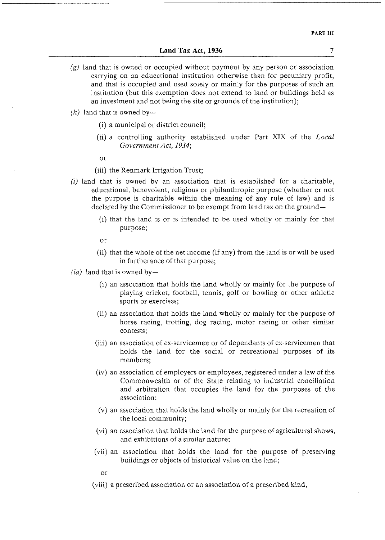#### **Land Tax Act, 1936**

- $(g)$  land that is owned or occupied without payment by any person or association carrying on an educational institution otherwise than for pecuniary profit, and that is occupied and used solely or mainly for the purposes of such an institution (but this exemption does not extend to land or buildings held as an investment and not being the site or grounds of the institution);
- $(h)$  land that is owned by -
	- (i) a municipal or district council;
	- (ii) a controlling authority established under Part XIX of the Local *Government* **Act,** *1934;*
	- or
	- (iii) the Renmark Irrigation Trust;
- **(i)** land that is owned by an association that is established for a charitable, educational, benevolent, religious or philanthropic purpose (whether or not the purpose is charitable within the meaning of any rule of law) and is declared by the Commissioner to be exempt from land tax on the ground-
	- (i) that the land is or is intended to be used wholly or mainly for that purpose;
	- or
	- (ii) that the whole of the net income (if any) from the land is or will be used in furtherance of that purpose;
- $(ia)$  land that is owned by-
	- (i) an association that holds the land wholly or mainly for the purpose of playing cricket, football, tennis, golf or bowling or other athletic sports or exercises;
	- (ii) an association that holds the land wholly or mainly for the purpose of horse racing, trotting, dog racing, motor racing or other similar contests;
	- (iii) an association of ex-servicemen or of dependants of ex-servicemen that holds the land for the social or recreational purposes of its members;
	- (iv) an association of employers or employees, registered under a law of the Commonwealth or of the State relating to industrial conciliation and arbitration that occupies the land for the purposes of the association;
	- (v) an association that holds the land wholly or mainly for the recreation of the local community;
	- (vi) an association that holds the land for the purpose of agricultural shows, and exhibitions of a similar nature;
	- (vii) an association that holds the land for the purpose of preserving buildings or objects of historical value on the land;
		- or
	- (viii) a prescribed association or an association of a prescribed kind,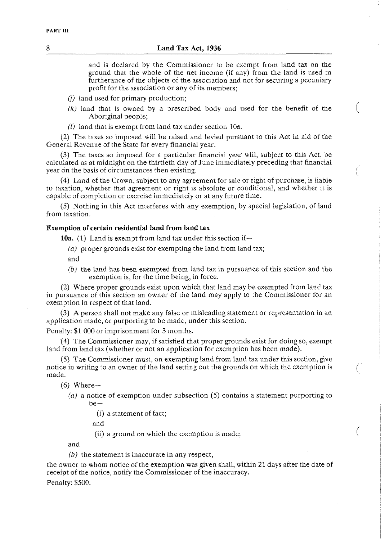and is declared by the Commissioner to be exempt from land tax on the ground that the whole of the net income (if any) from the land is used in furtherance of the objects of the association and not for securing a pecuniary profit for the association or any of its members;

- (j) land used for primary production;
- $(k)$  land that is owned by a prescribed body and used for the benefit of the Aboriginal people;
- (l) land that is exempt from land tax under section 10a.

(2) The taxes so imposed will be raised and levied pursuant to this Act in aid of the General Revenue of the State for every financial year.

(3) The taxes so imposed for a particular financial year will, subject to this Act, be calculated as at midnight on the thirtieth day of June immediately preceding that financial year on the basis of circumstances then existing.

(4) Land of the Crown, subject to any agreement for sale or right of purchase, is liable to taxation, whether that agreement or right is absolute or conditional, and whether it is capable of completion or exercise immediately or at any future time.

(5) Nothing in this Act interferes with any exemption, by special legislation, of land from taxation.

## **Exemption of certain residential land from land tax**

**10a.** (1) Land is exempt from land tax under this section if-

(a) proper grounds exist for exempting the land from land tax;

and

 $(b)$  the land has been exempted from land tax in pursuance of this section and the exemption is, for the time being, in force.

(2) Where proper grounds exist upon which that land may be exempted from land tax in pursuance of this section an owner of the land may apply to the Commissioner for an exemption in respect of that land.

(3) A person shall not make any false or misleading statement or representation in an application made, or purporting to be made, under this section.

Penalty: \$1 000 or imprisonment for 3 months.

(4) The Commissioner may, if satisfied that proper grounds exist for doing so, exempt land from land tax (whether or not an application for exemption has been made).

(5) The Commissioner must, on exempting land from land tax under this section, give notice in writing to an owner of the land setting out the grounds on which the exemption is made.

*(6)* Where-

(a) a notice of exemption under subsection  $(5)$  contains a statement purporting to be-

(i) a statement of fact;

and

(ii) a ground on which the exemption is made;

and

(b) the statement is inaccurate in any respect,

the owner to whom notice of the exemption was given shall, within 21 days after the date of receipt of the notice, notify the Commissioner of the inaccuracy.

Penalty: \$500.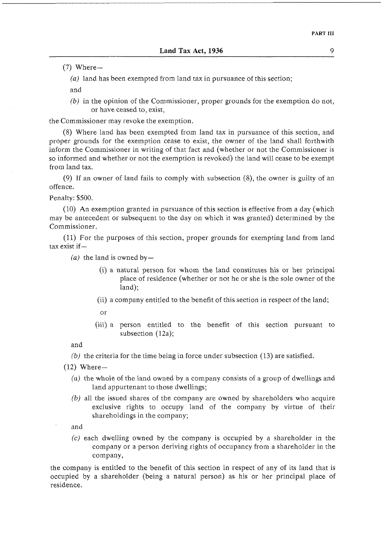$(7)$  Where-

*(a)* land has been exempted from land tax in pursuance of this section;

and

*(bj* in the opinion of the Commissioner, proper grounds for the exemption do not, or have ceased to, exist,

the Commissioner may revoke the exemption.

(8) Where land has been exempted from land tax in pursuance of this section, and proper grounds for the exemption cease to exist, the owner of the land shall forthwith inform the Commissioner in writing of that fact and (whether or not the Commissioner is so informed and whether or not the exemption is revoked) the land will cease to be exempt from land tax.

(9) If an owner of land fails to comply with subsection (8), the owner is guilty of an offence.

Penalty: \$500.

(10) An exemption granted in pursuance of this section is effective from a day (which may be antecedent or subsequent to the day on which it was granted) determined by the Commissioner.

(11) For the purposes of this section, proper grounds for exempting land from land tax exist if-

(a) the land is owned by  $-$ 

- (i) a natural person for whom the land constitutes his or her principal place of residence (whether or not he or she is the sole owner of the land);
- (ii) a company entitled to the benefit of this section in respect of the land;
- or
- (iii) a person entitled to the benefit of this section pursuant to subsection (12a);

and

- *(b)* the criteria for the time being in force under subsection (13) are satisfied.
- $(12)$  Where-
	- *(a)* the whole of the land owned by a company consists of a group of dwellings and land appurtenant to those dwellings;
	- *(b)* all the issued shares of the company are owned by shareholders who acquire exclusive rights to occupy land of the company by virtue of their shareholdings in the company;

and

(c) each dwelling owned by the company is occupied by a shareholder in the company or a person deriving rights of occupancy from a shareholder in the company,

the company is entitled to the benefit of this section in respect of any of its land that is occupied by a shareholder (being a natural person) as his or her principal place of residence.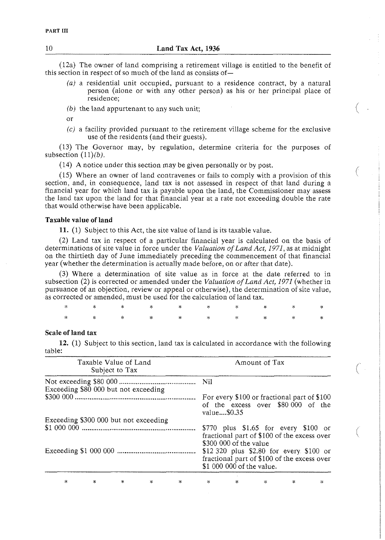(12a) The owner of land comprising a retirement village is entitled to the benefit of this section in respect of so much of the land as consists of  $-$ 

- (a) a residential unit occupied, pursuant to a residence contract, by a natural person (alone or with any other person) as his or her principal place of residence;
- *(b)* the land appurtenant to any such unit;

or

(c) a facility provided pursuant to the retirement village scheme for the exclusive use of the residents (and their guests).

(13) The Governor may, by regulation, determine criteria for the purposes of subsection  $(11)(b)$ .

(14) A notice under this section may be given personally or by post.

(15) Where an owner of land contravenes or fails to comply with a provision of this section, and, in consequence, land tax is not assessed in respect of that land during a financial year for which land tax is payable upon the land, the Commissioner may assess the land tax upon the land for that financial year at a rate not exceeding double the rate that would otherwise have been applicable.

#### **Taxable value of land**

**11.** (1) Subject to this Act, the site value of land is its taxable value.

(2) Land tax in respect of a particular financial year is calculated on the basis of determinations of site value in force under the Valuation of Land Act, *1971,* as at midnight on the thirtieth day of June immediately preceding the commencement of that financial year (whether the determination is actually made before, on or after that date).

(3) Where a determination of site value as in force at the date referred to in subsection (2) is corrected or amended under the Valuation of Land Act, *1971* (whether in pursuance of an objection, review or appeal or otherwise), the determination of site value, as corrected or amended, must be used for the calculation of land tax.

|  | $\begin{array}{ccccccccccccccccccccc} \ast & \times & \times & \times & \times & \times & \times & \times & \times & \times & \times & \times \end{array}$ |  |  |  |
|--|------------------------------------------------------------------------------------------------------------------------------------------------------------|--|--|--|
|  | $\begin{array}{ccccccccccccccccccccc} * & * & * & * & * & * & * & * & * & * & * & * \end{array}$                                                           |  |  |  |

## **Scale of land tax**

**12.** (1) Subject to this section, land tax is calculated in accordance with the following table:

| Taxable Value of Land<br>Subject to Tax                                                                                                               |  |  |  |        | Amount of Tax |                                                     |                                                                                                                                                                                  |   |   |  |  |
|-------------------------------------------------------------------------------------------------------------------------------------------------------|--|--|--|--------|---------------|-----------------------------------------------------|----------------------------------------------------------------------------------------------------------------------------------------------------------------------------------|---|---|--|--|
|                                                                                                                                                       |  |  |  |        |               | value $$ \$0.35                                     | For every \$100 or fractional part of \$100<br>of the excess over \$80 000 of the                                                                                                |   |   |  |  |
| Exceeding \$80 000 but not exceeding<br>Exceeding \$300 000 but not exceeding<br>$$1\ 000\ 000\  \ldots$<br>$\propto$<br>$\star$<br>$\star$<br>$\ast$ |  |  |  |        |               | \$300 000 of the value<br>\$1 000 000 of the value. | $$770$ plus $$1.65$ for every $$100$ or<br>fractional part of \$100 of the excess over<br>\$12,320 plus \$2.80 for every \$100 or<br>fractional part of \$100 of the excess over |   |   |  |  |
|                                                                                                                                                       |  |  |  | $\leq$ | $\Lambda$     | $\mathcal{M}$ .                                     | $*$ $-$                                                                                                                                                                          | 宋 | 客 |  |  |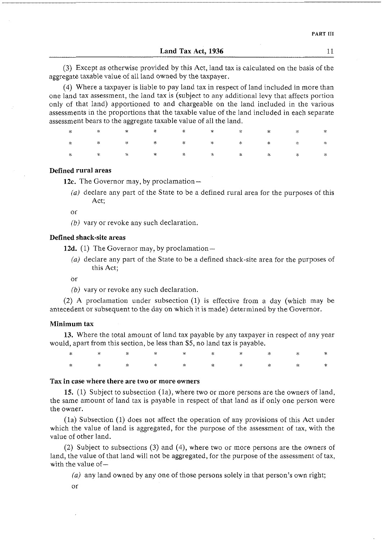**Land Tax Act, 1936** 11

**(3)** Except as otherwise provided by this Act, land tax is calculated on the basis of the aggregate taxable value of all land owned by the taxpayer.

(4) Where a taxpayer is liable to pay land tax in respect of land included in more than one land tax assessment, the land tax is (subject to any additional levy that affects portion only of that land) apportioned to and chargeable on the land included in the various assessments in the proportions that the taxable value of the land included in each separate assessment bears to the aggregate taxable value of all the land.

#### **Defined rural areas**

12c. The Governor may, by proclamation-

*(a)* declare any part of the State to be a defined rural area for the purposes of this Act;

or

*(b)* vary or revoke any such declaration.

# **Defined shack-site areas**

**12d.** (1) The Governor may, by proclamation-

*(a)* declare any part of the State to be a defined shack-site area for the purposes of this Act;

or

*(b)* vary or revoke any such declaration.

(2) A proclamation under subsection (I) is effective from a day (which may be antecedent or subsequent to the day on which it is made) determined by the Governor.

#### **Minimum tax**

**13.** Where the total amount of land tax payable by any taxpayer in respect of any year would, apart from this section, be less than \$5, no land tax is payable.

\* \* **h** \* \* **h** \* \* **h h**   $\bar{\mathbf{x}}$ i.  $\ddot{\mathbf{v}}$ ú. ų, .<br>X ý.  $\mathbf{v}$  $\ddot{\mathbf{v}}$ ٠k

## **Tax in case where there are two or more owners**

**15.** (1) Subject to subsection (la), where two or more persons are the owners of land, the same amount of land tax is payable in respect of that land as if only one person were the owner.

(la) Subsection (1) does not affect the operation of any provisions of this Act under which the value of land is aggregated, for the purpose of the assessment of tax, with the value of other land.

(2) Subject to subsections (3) and (4), where two or more persons are the owners of land, the value of that land will not be aggregated, for the purpose of the assessment of tax, with the value of-

(a) any land owned by any one of those persons solely in that person's own right;

or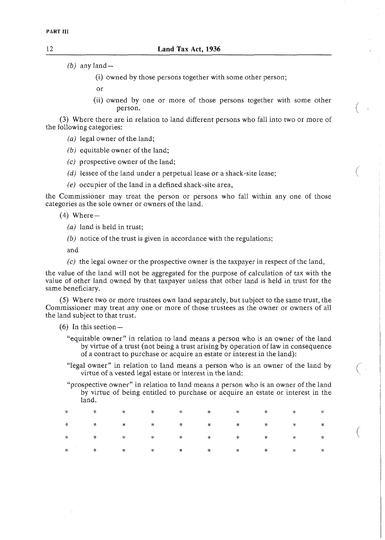$(b)$  any land-

(i) owned by those persons together with some other person;

or

(ii) owned by one or more of those persons together with some other person.

**(3)** Where there are in relation to land different persons who fall into two or more of the following categories:

*(a)* legal owner of the land;

*(b)* equitable owner of the land;

*ic)* prospective owner of the land;

(d) lessee of the land under a perpetual lease or a shack-site lease;

*(e)* occupier of the land in a defined shack-site area,

the Commissioner may treat the person or persons who fall within any one of those categories as the sole owner or owners of the land.

 $(4)$  Where-

*(a)* land is held in trust;

*(b)* notice of the trust is given in accordance with the regulations;

and

*(cj* the legal owner or the prospective owner is the taxpayer in respect of the land,

the value of the land will not be aggregated for the purpose of calculation of tax with the value of other land owned by that taxpayer unless that other land is held in trust for the same beneficiary.

(5) Where two or more trustees own land separately, but subject to the same trust, the Commissioner may treat any one or more of those trustees as the owner or owners of all the land subject to that trust.

(6) In this section $-$ 

- "equitable owner" in relation to land means a person who is an owner of the land by virtue of a trust (not being a trust arising by operation of law in consequence of a contract to purchase or acquire an estate or interest in the land):
- "legal owner" in relation to land means a person who is an owner of the land by virtue of a vested legal estate or interest in the land:
- "prospective owner" in relation to land means a person who is an owner of the land by virtue of being entitled to purchase or acquire an estate or interest in the land.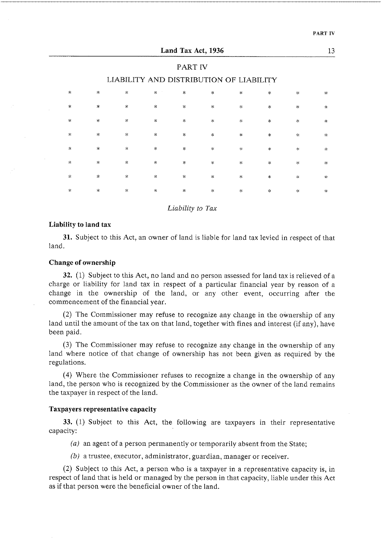|                    |            |                         |                                         | Land Tax Act, 1936 |                |               |                      |               | 13            |
|--------------------|------------|-------------------------|-----------------------------------------|--------------------|----------------|---------------|----------------------|---------------|---------------|
|                    |            |                         |                                         | PART IV            |                |               |                      |               |               |
|                    |            |                         | LIABILITY AND DISTRIBUTION OF LIABILITY |                    |                |               |                      |               |               |
| $\approx$          | $\ast$     | $\mathcal{H}$           | $\star$                                 | $\lesssim$         | $\sim$         | $\star$       | $\lesssim$           | $\lesssim$    | $\star$       |
| $\dot{\mathbf{x}}$ | $\gg$      | $\mathbf{g}_\mathrm{c}$ | $\star$                                 | $\dot{\mathbf{x}}$ | $\mathcal{R}$  | $\sim$        | $\asymp$             | $\lesssim$    | $\lesssim$    |
| $\star$            | $\pm$      | $\lesssim$              | ∗                                       | $\ast$             | $\star$        | $\mathcal{R}$ | $\!\times\!$         | $\lesssim$    | $\ast$        |
| $\mathcal{N}$      | $\pm$      | $\lesssim$              | $\star$                                 | $\approx$          | $\mathbf{v}$   | $\lesssim$    | $\mathbf{x}$         | $\star$       | $\mathbf{x}$  |
| $\lesssim$         | $\pm$      | $\geq$                  | $\approx$                               | $\pm$              | $\ast$         | $\mathcal{H}$ | $\star$              | $\approx$     | $\leq$        |
| $\mathcal{L}$      | $\star$    | $\mathbf{x}$            | $\ast$                                  | $\star$            | $\preccurlyeq$ | $\star$       | $\approx$            | $\ast$        | ×.            |
| $\gtrsim$          | $\lesssim$ | $\lesssim$              | $\star$                                 | $\mathcal{L}$      | $\mathbf{r}$   | $\lesssim$    | $\star$              | $\mathcal{H}$ | $\mathcal{R}$ |
| $\approx$          | $\ast$     | $\mathcal{H}$           | $\ast$                                  | ∗                  | *              | $\propto$     | $\mathbb{R}^{\star}$ | $\approx$     | $\ast$        |

**Liability to Tax** 

## **Liability to land tax**

**31.** Subject to this Act, an owner of land is liable for land tax levied in respect of that land.

#### **Change of ownership**

**32.** (1) Subject to this Act, no land and no person assessed for land tax is relieved of a charge or liability for land tax in respect of a particular financial year by reason of a change in the ownership of the land, or any other event, occurring after the commencement of the financial year.

(2) The Commissioner may refuse to recognize any change in the ownership of any land until the amount of the tax on that land, together with fines and interest (if any), have been paid.

(3) The Commissioner may refuse to recognize any change in the ownership of any land where notice of that change of ownership has not been given as required by the regulations.

(4) Where the Commissioner refuses to recognize a change in the ownership of any land, the person who is recognized by the Commissioner as the owner of the land remains the taxpayer in respect of the land.

#### **Taxpayers representative capacity**

**33.** (1) Subject to this Act, the following are taxpayers in their representative capacity:

*(a)* an agent of a person permanently or temporarily absent from the State;

**(b)** a trustee, executor, administrator, guardian, manager or receiver.

(2) Subject to this Act, a person who is a taxpayer in a representative capacity is, in respect of land that is held or managed by the person in that capacity, liable under this Act as if that person were the beneficial owner of the land.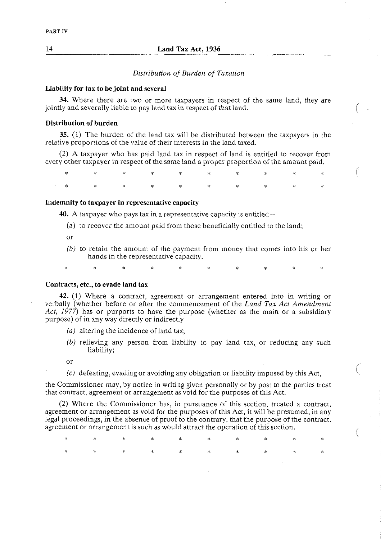## 14 **Land Tax Act. 1936**

#### *Distribution of Burden of Taxation*

#### **Liability for tax to be joint and several**

**34.** Where there are two or more taxpayers in respect of the same land, they are jointly and severally liable to pay land tax in respect of that land.

# **Distribution of burden**

**35.** (1) The burden of the land tax will be distributed between the taxpayers in the relative proportions of the value of their interests in the land taxed.

(2) A taxpayer who has paid land tax in respect of land is entitled to recover from every other taxpayer in respect of the same land a proper proportion of the amount paid.

#### **Indemnity to taxpayer in representative capacity**

**40.** A taxpayer who pays tax in a representative capacity is entitled—

- (a) to recover the amount paid from those beneficially entitled to the land;
- or
- *(b)* to retain the amount of the payment from money that comes into his or her hands in the representative capacity.

*r:* X ?. X X **>b** X X \* \*

## **Contracts, etc., to evade land tax**

**42.** (1) Where a contract, agreement or arrangement entered into in writing or verbally (whether before or after the commencement of the *Land Tax Act Amendment Act?* 1977) has or purports to have the purpose (whether as the main or a subsidiary purpose) of in any way directly or indirectly  $-$ 

- *(a)* altering the incidence of land tax;
- *ib)* relieving any person from liability to pay land tax, or reducing any such liability;

or

*(c)* defeating, evading or avoiding any obligation or liability imposed by this Act,

the Commissioner may, by notice in writing given personally or by post to the parties treat that contract, agreement or arrangement as void for the purposes of this Act.

(2) Where the Commissioner has, in pursuance of this section, treated a contract, agreement or arrangement as void for the purposes of this Act, it will be presumed, in any legal proceedings, in the absence of proof to the contrary, that the purpose of the contract, agreement or arrangement is such as would attract the operation of this section.

|  | $\begin{array}{ccccccccccccccccccccc} * & & * & & * & & * & & * & & * & & * & & * & & * & \end{array}$                                                                                                                                                               |  |  |  |  |
|--|----------------------------------------------------------------------------------------------------------------------------------------------------------------------------------------------------------------------------------------------------------------------|--|--|--|--|
|  | $\begin{array}{ccccccccccccccccccccc} \times & \times & \times & \times & \times & \times & \times & \times & \times & \times \end{array} \qquad \begin{array}{ccccccccccccccccc} \times & \times & \times & \times & \times & \times & \times & \times \end{array}$ |  |  |  |  |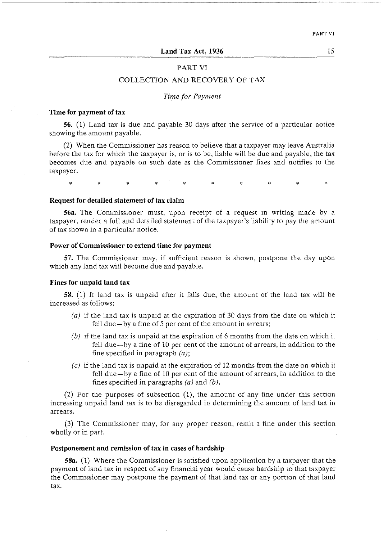## PART VI

## COLLECTION AND RECOVERY OF TAX

#### *Time for Payment*

#### **Time for payment of tax**

**56.** (1) Land tax is due and payable 30 days after the service of a particular notice showing the amount payable.

(2) When the Commissioner has reason to believe that a taxpayer may leave Australia before the tax for which the taxpayer is, or is to be, liable will be due and payable, the tax becomes due and payable on such date as the Commissioner fixes and notifies to the taxpayer.

 $\overline{\mathbf{x}}$  $\mathbf{k}$ 

## **Request for detailed statement of tax claim**

**56a.** The Commissioner must, upon receipt of a request in writing made by a taxpayer, render a full and detailed statement of the taxpayer's liability to pay the amount of tax shown in a particular notice.

## **Power of Commissioner to extend time for payment**

**57.** The Commissioner may, if sufficient reason is shown, postpone the day upon which any land tax will become due and payable.

#### **Fines for unpaid land tax**

**58.** (1) If land tax is unpaid after it falls due, the amount of the land tax will be increased as follows:

- (a) if the land tax is unpaid at the expiration of 30 days from the date on which it fell due—by a fine of 5 per cent of the amount in arrears;
- (b) if the land tax is unpaid at the expiration of 6 months from the date on which it fell due-by a fine of 10 per cent of the amount of arrears, in addition to the fine specified in paragraph  $(a)$ ;
- $(c)$  if the land tax is unpaid at the expiration of 12 months from the date on which it fell due-by a fine of 10 per cent of the amount of arrears, in addition to the fines specified in paragraphs *(a)* and (b).

(2) For the purposes of subsection (I), the amount of any fine under this section increasing unpaid land tax is to be disregarded in determining the amount of land tax in arrears.

(3) The Commissioner may, for any proper reason, remit a fine under this section wholly or in part.

#### **Postponement and remission of tax in cases of hardship**

**58a.** (1) Where the Commissioner is satisfied upon application by a taxpayer that the payment of land tax in respect of any financial year would cause hardship to that taxpayer the Commissioner may postpone the payment of that land tax or any portion of that land tax.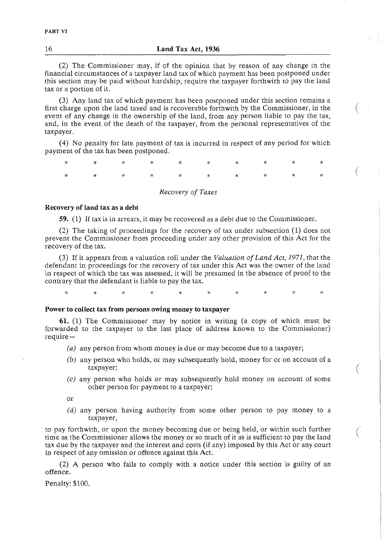#### 16 **Land Tax Act. 1936**

(2) The Commissioner may, if of the opinion that by reason of any change in the financial circumstances of a taxpayer land tax of which payment has been postponed under this section may be paid without hardship, require the taxpayer forthwith to pay the land tax or a portion of it.

(3) Any land tax of which payment has been postponed under this section remains a first charge upon the land taxed and is recoverable forthwith by the Commissioner, in the event of any change in the ownership of the land, from any person liable to pay the tax, and, in the event of the death of the taxpayer, from the personal representatives of the taxpayer.

(4) No penalty for late payment of tax is incurred in respect of any period for which payment of the tax has been postponed.

#### *Recovery of Taxes*

#### **Recovery of land tax as a debt**

**59.** (1) If tax is in arrears, it may be recovered as a debt due to the Commissioner.

(2) The taking of proceedings for the recovery of tax under subsection (1) does not prevent the Commissioner from proceeding under any other provision of this Act for the recovery of the tax.

(3) If it appears from a valuation roll under the *Valuation* of *Land Act, 1971,* that the defendant in proceedings for the recovery of tax under this Act was the owner of the land in respect of which the tax was assessed, it will be presumed in the absence of proof to the contrary that the defendant is liable to pay the tax.

.<br>X

#### **Power to collect tax from persons owing money to taxpayer**

**61.** (1) The Commissioner may by notice in writing (a copy of which must be forwarded to the taxpayer to the last place of address known to the Commissioner) require-

- (a) any person from whom money is due or may become due to a taxpayer;
- (b) any person who holds, or may subsequently hold, money for or on account of a taxpayer;
- *(cj* any person who holds or may subsequently hold money on account of some other person for payment to a taxpayer;

or

 $\mathbf{k}$ 

*(d)* any person having authority from some other person to pay money to a taxpayer,

to pay forthwith, or upon the money becoming due or being held, or within such further time as the Commissioner allows the money or so much of it as is sufficient to pay the land tax due by the taxpayer and the interest and costs (if any) imposed by this Act or any court in respect of any omission or offence against this Act.

(2) A person who fails to comply with a notice under this section is guilty of an offence.

Penalty: \$100.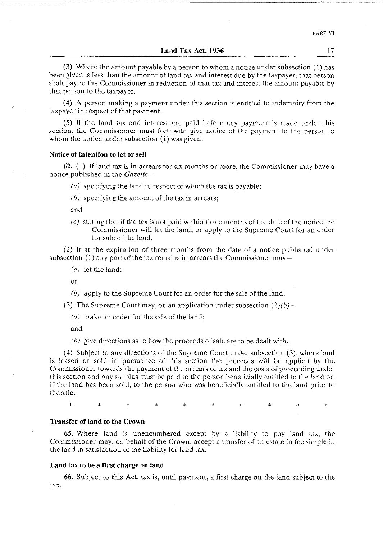**Land Tax Act. 1936** 

*(3)* Where the amount payable by a person to whom a notice under subsection *(1)* has been given is less than the amount of land tax and interest due by the taxpayer, that person shall pay to the Commissioner in reduction of that tax and interest the amount payable by that person to the taxpayer.

(4) **A** person making a payment under this section is entitled to indemnity from the taxpayer in respect of that payment.

(5) If the land tax and interest are paid before any payment is made under this section, the Commissioner must forthwith give notice of the payment to the person to whom the notice under subsection *(I)* was given.

#### **Notice of intention to let or sell**

**62.** (1) If land tax is in arrears for six months or more, the Commissioner may have a notice published in the *Gazette-* 

- (a) specifying the land in respect of which the tax is payable;
- *(b)* specifying the amount of the tax in arrears;

and

 $(c)$  stating that if the tax is not paid within three months of the date of the notice the Commissioner will let the land, or apply to the Supreme Court for an order for sale of the land.

(2) If at the expiration of three months from the date of a notice published under subsection (1) any part of the tax remains in arrears the Commissioner may—

*(a)* let the land;

or

- *(b)* apply to the Supreme Court for an order for the sale of the land.
- *(3)* The Supreme Court may, on an application under subsection *(2)(b)-* 
	- (a) make an order for the sale of the land;

and

(b) give directions as to how the proceeds of sale are to be dealt with.

(4) Subject to any directions of the Supreme Court under subsection *(3),* where land is leased or sold in pursuance of this section the proceeds will be applied by the Commissioner towards the payment of the arrears of tax and the costs of proceeding under this section and any surplus must be paid to the person beneficially entitled to the land or, if the land has been sold, to the person who was beneficially entitled to the land prior to the sale.

.<br>K  $\dot{\mathbf{x}}$  $\frac{1}{2}$ 

#### **Transfer of land to the Crown**

**65.** Where land is unencumbered except by a liability to pay land tax, the Commissioner may, on behalf of the Crown, accept a transfer of an estate in fee simple in the land in satisfaction of the liability for land tax.

## **Land tax to be a first charge on land**

**66.** Subject to this Act, tax is, until payment, a first charge on the land subject to the tax.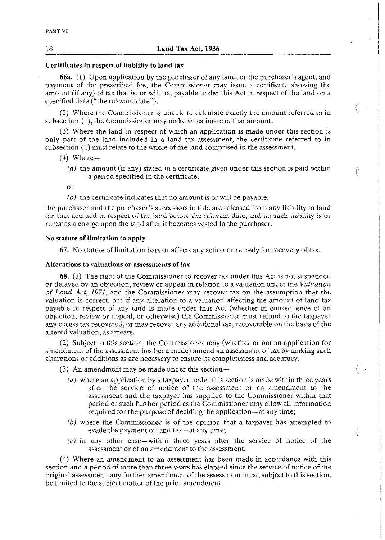#### **Certificates in respect of liability to land tax**

**66a.** (1) Upon application by the purchaser of any land, or the purchaser's agent, and payment of the prescribed fee, the Commissioner may issue a certificate showing the amount (if any) of tax that is, or will be, payable under this Act in respect of the land on a specified date ("the relevant date").

(2) Where the Commissioner is unable to calculate exactly the amount referred to in subsection (I), the Commissioner may make an estimate of that amount.

(3) Where the land in respect of which an application is made under this section is only part of the land included in a land tax assessment, the certificate referred to in subsection (1) must relate to the whole of the land comprised in the assessment.

- $(4)$  Where
	- *la)* the amount (if any) stated in a certificate given under this section is paid within a period specified in the certificate;

or

*ib)* the certificate indicates that no amount is or will be payable,

the purchaser and the purchaser's successors in title are released from any liability to land tax that accrued in respect of the land before the relevant date, and no such liability is or remains a charge upon the land after it becomes vested in the purchaser.

#### **No statute of limitation to apply**

**67.** No statute of limitation bars or affects any action or remedy for recovery of tax.

## **Alterations to valuations or assessments of tax**

**68.** (1) The right of the Commissioner to recover tax under this Act is not suspended or delayed by an objection, review or appeal in relation to a valuation under the *Valuation of Land Act, 1971,* and the Commissioner may recover tax on the assumption that the valuation is correct, but if any alteration to a valuation affecting the amount of land tax payable in respect of any land is made under that Act (whether in consequence of an objection, review or appeal, or otherwise) the Commissioner must refund to the taxpayer any excess tax recovered, or may recover any additional tax, recoverabie on the basis of the altered valuation, as arrears.

(2) Subject to this section, the Commissioner may (whether or not an application for amendment of the assessment has been made) amend an assessment of tax by making such alterations or additions as are necessary to ensure its completeness and accuracy.

**(3)** An amendment may be made under this section-

- *iaj* where an application by a taxpayer under this section is made within three years after the service of notice of the assessment or an amendment to the assessment and the taxpayer has supplied to the Commissioner within that period or such further period as the Commissioner may allow all information required for the purpose of deciding the application-at any time;
- *ibj* where the Commissioner is of the opinion that a taxpayer has attempted to evade the payment of land tax-at any time;
- $(c)$  in any other case—within three years after the service of notice of the assessment or of an amendment to the assessment.

(4) Where an amendment to an assessment has been made in accordance with this section and a period of more than three years has elapsed since the service of notice of the original assessment, any further amendment of the assessment must, subject to this section, be limited to the subject matter of the prior amendment.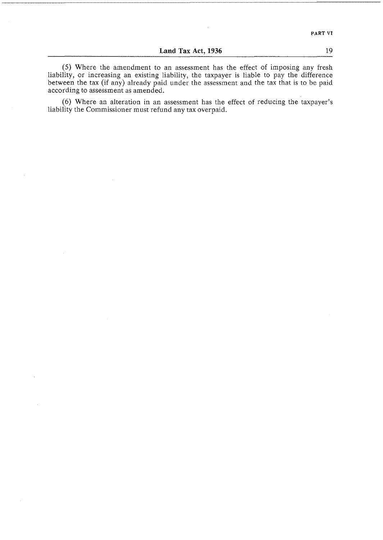(5) Where the amendment to an assessment has the effect of imposing any fresh liability, or increasing an existing liability, the taxpayer is liable to pay the difference between the tax (if any) already paid under the assessment and the tax that is to be paid according to assessment as amended.

(6) Where an alteration in an assessment has the effect of reducing the taxpayer's liability the Commissioner must refund any tax overpaid.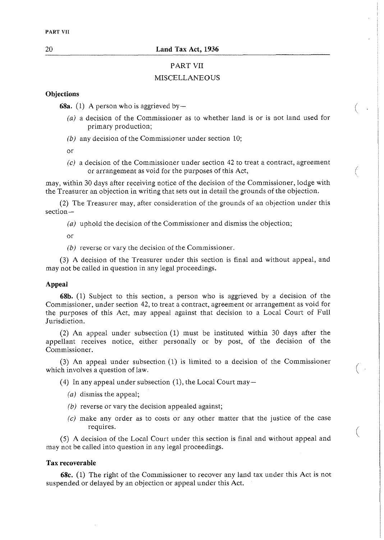#### 20 **Land Tax Act. 1936**

#### PART VII

## MISCELLANEOUS

# **Objections**

**68a.** (1) A person who is aggrieved by-

- (a) a decision of the Commissioner as to whether land is or is not land used for primary production;
- (b) any decision of the Commissioner under section 10;

or

*(c)* a decision of the Commissioner under section 42 to treat a contract, agreement or arrangement as void for the purposes of this Act,

may, within 30 days after receiving notice of the decision of the Commissioner, lodge with the Treasurer an objection in writing that sets out in detail the grounds of the objection.

(2) The Treasurer may, after consideration of the grounds of an objection under this section-

- *(a)* uphold the decision of the Commissioner and dismiss the objection;
- or
- *(b)* reverse or vary the decision of the Commissioner.

(3) A decision of the Treasurer under this section is final and without appeal, and may not be called in question in any legal proceedings.

#### **Appeal**

**68b.** (1) Subject to this section, a person who is aggrieved by a decision of the Commissioner, under section 42, to treat a contract, agreement or arrangement as void for the purposes of this Act, may appeal against that decision to a Local Court of Full Jurisdiction.

(2) An appeal under subsection (1) must be instituted within 30 days after the appellant receives notice, either personally or by post, of the decision of the Commissioner.

(3) An appeal under subsection (1) is limited to a decision of the Commissioner which involves a question of law.

(4) In any appeal under subsection  $(1)$ , the Local Court may-

- *(a)* dismiss the appeal;
- *(b)* reverse or vary the decision appealed against;
- *(c)* make any order as to costs or any other matter that the justice of the case requires.

(5) A decision of the Local Court under this section is final and without appeal and may not be called into question in any legal proceedings.

#### **Tax recoverable**

**68c. (1)** The right of the Commissioner to recover any land tax under this Act is not suspended or delayed by an objection or appeal under this Act.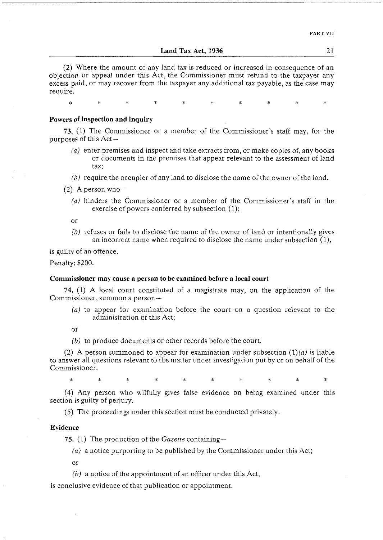#### **Land Tax Act. 1936**

(2) Where the amount of any land tax is reduced or increased in consequence of an objection or appeal under this Act, the Commissioner must refund to the taxpayer any excess paid, or may recover from the taxpayer any additional tax payable, as the case may require.

Ġ.

#### **Powers of inspection and inquiry**

**73.** (1) The Commissioner or a member of the Commissioner's staff may, for the purposes of this Act-

- $(a)$  enter premises and inspect and take extracts from, or make copies of, any books or documents in the premises that appear relevant to the assessment of land tax;
- (b) require the occupier of any land to disclose the name of the owner of the land.
- $(2)$  A person who-
	- (a) hinders the Commissioner or a member of the Commissioner's staff in the exercise of powers conferred by subsection (1);
	- or
	- *(b)* refuses or fails to disclose the name of the owner of land or intentionally gives an incorrect name when required to disclose the name under subsection  $(1)$ ,

is guilty of an offence.

Penalty: \$200.

#### **Commissioner may cause a person to be examined before a local court**

**74.** (1) A local court constituted of a magistrate may, on the application of the Commissioner, summon a person-

(a) to appear for examination before the court on a question relevant to the administration of this Act;

or

ų.

 $(b)$  to produce documents or other records before the court.

(2) A person summoned to appear for examination under subsection  $(1)(a)$  is liable to answer all questions relevant to the matter under investigation put by or on behalf of the Commissioner.

.<br>K

(4) Any person who wilfully gives false evidence on being examined under this section is guilty of perjury.

(5) The proceedings under this section must be conducted privately.

#### **Evidence**

75. (1) The production of the *Gazette* containing-

(a) a notice purporting to be published by the Commissioner under this Act;

Οſ

*(b)* a notice of the appointment of an officer under this Act,

is conclusive evidence of that publication or appointment.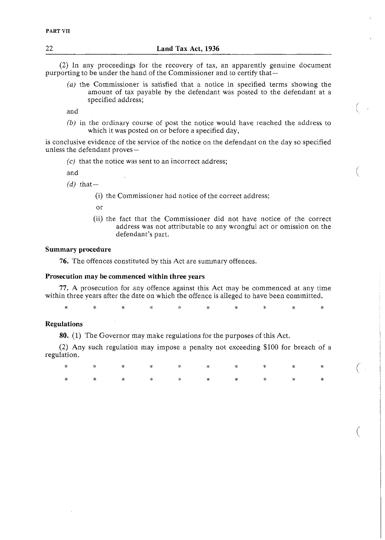(2) In any proceedings for the recovery of tax, an apparently genuine document purporting to be under the hand of the Commissioner and to certify that-

(a) the Commissioner is satisfied that a notice in specified terms showing the amount of tax payable by the defendant was posted to the defendant at a specified address;

and

*ib)* in the ordinary course of post the notice would have reached the address to which it was posted on or before a specified day,

is conclusive evidence of the service of the notice on the defendant on the day so specified unless the defendant proves-

**(c)** that the notice was sent to an incorrect address;

and

 $(d)$  that-

(i) the Commissioner had notice of the correct address;

or

(ii) the fact that the Commissioner did not have notice of the correct address was not attributable to any wrongful act or omission on the defendant's part.

# **Summary procedure**

**76.** The offences constituted by this Act are summary offences.

# **Prosecution may be commenced within three years**

**77.** A prosecution for any offence against this Act may be commenced at any time within three years after the date on which the offence is alleged to have been committed.

 $\star$ s.  $\bar{\psi}$  $\mathbf{k}$  $\ddot{\phantom{0}}$ i.  $\mathbf{x}$ y. ٠.  $\mathbf{x}$ 

#### **Regulations**

*SO.* (I) The Governor may make regulations for the purposes of this Act.

(2) Any such regulation may impose a penalty not exceeding \$100 for breach of a regulation.

 $(\cdot,$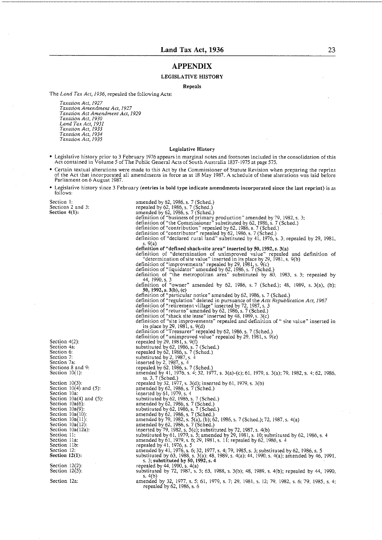#### APPENDIX

#### LEGISLATIVE HISTORY

Repeals

The *Land Tax Act, 1936*, repealed the following Acts:

Taxation Act. 1927 *Taxation Amendment Act,* 1927 *Taxation Act Ainendment Act,* 1929 *Taxation Acc,* 1930 Land *Tax Act.* 1931 *Taxation* Act,'1933 *Taxation Act,* 1934 *Taxation Act,* 1935

#### Legislative History

- Legislative History<br>Changinal notes and footnotes included in the consolidation of this الegislative history prior to 3 February<br>Act contained in Volume 5 of The Public General Acts of South Australia 1837-1975 at page 575
- Certain textuai alterations were made to this Act by the Commissioner of Sratute Revision when preparing the reprint of the Act that incorporated all amendments in force as at 18 May 1987. A schedule oi these alterations was laid before Parliament on 6 August 1987.
- Legislative history since 3 February (entries in bold type indicate amendments incorporated since the last reprint) is as follows:

Section I: Sections 2 and 3: Section  $4(1)$ :

Section 4(2): Section 4a: Section 6: Section 7: Section 7a: Sections 8 and 9: Section  $10(1)$ : Section lO(3): Section 10(4) and (5): Section 1Oa: Section  $10a(4)$  and  $(5)$ : Section 10a(6): Section 10a(9): Section  $10a(10)$ Section  $10a(11)$ : Section  $10a(12)$ Section  $10a(12a)$ : Section 11: Section 11a: Section 11b: Section 12: Section 12(1): Section 12(2):<br>Section 12(5):

Section 12a:

amended by 62. 1986,s. 7 (Sched.) repealed by 62, 1986, s. 7 (Sched.) amended by 62. 1986. s. 7 (Sched.) definition of "business of primary production" amended by 79, 1982, s. 3: definition of "the Commissioner" substituted by 62, 1986, s. 7 (Sched.)<br>definition of "contribution" repealed by 62, 1986, s. 7 (Sched.) definition of "contributor" repeaied by 62, 1986, s. 7 (Sched.) definition of "declared rural land" substituted by  $4\hat{1}$ , 1976, s. 3; repealed by 29, 1981, **s.** 9(a) definition of "liquidator" amended by 62, 1986, s. 7 (Sched.)<br>definition of "the metropolitan area" substituted by 80, 1983, s. 3; repealed by<br>44, 1990, s. 3<br>definition of "owner" amended by 62, 1986, s. 7 (Sched.); 48, 1 definition of "regulation" deleted in pursuance of the *Acts Republication Act, 1967*<br>definition of "retirement village" inserted by 72, 1987, s. 3<br>definition of "returns" amended by 62, 1986, s. 7 (Sched.) definition of "shack site lease" inserted by 48, 1989, s. 3(c) definition of "site improvements" repealed and definition of" site value" inserted in its place by 29, 1981, s. 9(d) definition of "Treasurer" repealed by 62. 1986. s. 7 (Sched.) definition of "unimproved value" repealed by 29, 1981, s. 9(e)<br>repealed by 29, 1981, s. 9(f)<br>substituted by 62, 1986, s. 7 (Sched.)<br>repealed by 62, 1986, s. 7 (Sched.) substituted by 2, 1987, s. 4 inserted by 2. 1987. s. 4 repealed by 62, 1986, s. 7 (Sched.)<br>amended by 41, 1976, s. 4; 32, 1977, s. 3(a)-(c); 61, 1979, s. 3(a); 79, 1982, s. 4; 62, 1986,<br>ss. 3, 7 (Sched.)<br>repealed by 32, 1977, s. 3(d); inserted by 61, 1979, s. 3(b)<br>amended by 6 substituted by 62. 1986,s. 7 (Sched.) amended by 62. 1986,s. 7 (Sched.) substituted by 62. 1986. s. 7 (Sched.) amended by 62, 1986, s. 7 (Sched.)<br>amended by 79, 1982, s. 5(a), (b); 62, 1986, s. 7 (Sched.); 72, 1987, s. 4(a)<br>amended by 62, 1986, s. 7 (Sched.)<br>inserted by 79, 1982, s. 5(c); substituted by 72, 1987, s. 4(b)<br>substitute substituted by 63, 1988, s. 3(a); 48, 1989, s. 4(a); 44, 1990, s. 4(a); amended by 46, 1991, s. 3; substituted by 50, 1992, s. 4<br>repealed by 44, 1990, s. 4(a)<br>substituted by 72, 1987, s. 5; 63, 1988, s. 3(b); 48, 1989, s.  $\overline{5}$ , 4(b) amended by 32, 1977, s. 5: 61, 1979, s. 7; 29, 1981, s. 12; 79, 1982, s. 6; 79, 1985, s. 4; repeaied by 62. 1986, s. 6